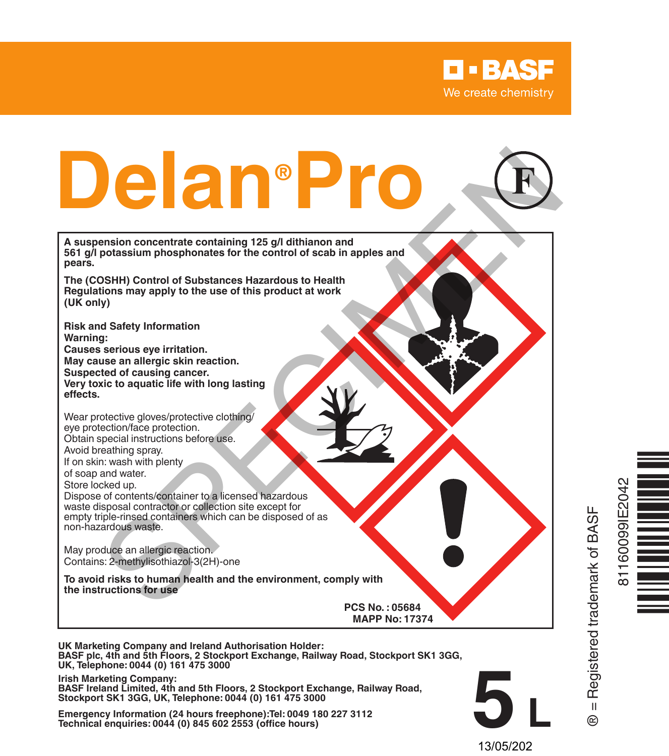



**UK Marketing Company and Ireland Authorisation Holder: BASF plc, 4th and 5th Floors, 2 Stockport Exchange, Railway Road, Stockport SK1 3GG, UK, Telephone: 0044 (0) 161 475 3000**

**Irish Marketing Company: BASF Ireland Limited, 4th and 5th Floors, 2 Stockport Exchange, Railway Road, Stockport SK1 3GG, UK, Telephone: 0044 (0) 161 475 3000**

**Emergency Information (24 hours freephone):Tel: 0049 180 227 3112 Technical enquiries: 0044 (0) 845 602 2553 (office hours)**

® = Registered trademark of BASF



**5 L** 13/05/202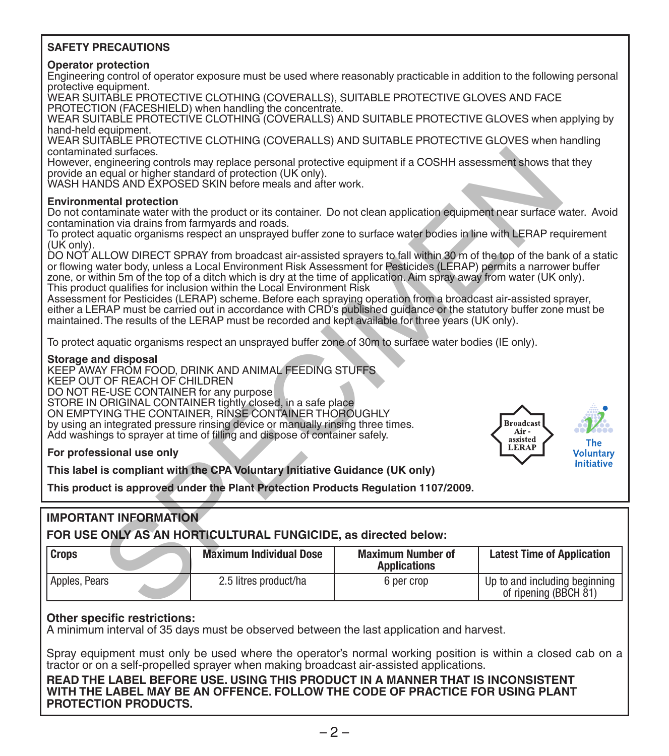#### **SAFETY PRECAUTIONS**

#### **Operator protection**

Engineering control of operator exposure must be used where reasonably practicable in addition to the following personal protective equipment.

WEAR SUITABLE PROTECTIVE CLOTHING (COVERALLS), SUITABLE PROTECTIVE GLOVES AND FACE PROTECTION (FACESHIELD) when handling the concentrate.

WEAR SUITABLE PROTECTIVE CLOTHING (COVERALLS) AND SUITABLE PROTECTIVE GLOVES when applying by hand-held equipment.

WEAR SUITABLE PROTECTIVE CLOTHING (COVERALLS) AND SUITABLE PROTECTIVE GLOVES when handling contaminated surfaces.

#### **Environmental protection**

#### **Storage and disposal**



## **IMPORTANT INFORMATION**

|                                                                                                                                                                                                                                                                                                                                                                                                                                                                                                                                                                                                                                                                                                                                                                                                                                                                                                                                                                                                                                                                                                                                                                                                                                     |                                                                                                                          |                                                                                                               | <b>Broadcast</b><br>Air-<br>assisted<br>The<br><b>LERAP</b> |  |
|-------------------------------------------------------------------------------------------------------------------------------------------------------------------------------------------------------------------------------------------------------------------------------------------------------------------------------------------------------------------------------------------------------------------------------------------------------------------------------------------------------------------------------------------------------------------------------------------------------------------------------------------------------------------------------------------------------------------------------------------------------------------------------------------------------------------------------------------------------------------------------------------------------------------------------------------------------------------------------------------------------------------------------------------------------------------------------------------------------------------------------------------------------------------------------------------------------------------------------------|--------------------------------------------------------------------------------------------------------------------------|---------------------------------------------------------------------------------------------------------------|-------------------------------------------------------------|--|
| Storage and disposal<br>KEEP AWAY FROM FOOD, DRINK AND ANIMAL FEEDING STUFFS.<br>KEEP OUT OF REACH OF CHILDREN<br>DO NOT RE-USE CONTAINER for any purpose<br>STORE IN ORIGINAL CONTAINER tightly closed, in a safe place<br>ON EMPTYING THE CONTAINER, RINSE CONTAINER THOROUGHLY<br>by using an integrated pressure rinsing device or manually rinsing three times.<br>Add washings to sprayer at time of filling and dispose of container safely.<br>For professional use only<br><b>Voluntary</b>                                                                                                                                                                                                                                                                                                                                                                                                                                                                                                                                                                                                                                                                                                                                |                                                                                                                          |                                                                                                               |                                                             |  |
| Do not contaminate water with the product or its container. Do not clean application equipment near surface water. Avoid<br>contamination via drains from farmyards and roads.<br>To protect aquatic organisms respect an unsprayed buffer zone to surface water bodies in line with LERAP requirement<br>(UK only).<br>DO NOT ALLOW DIRECT SPRAY from broadcast air-assisted sprayers to fall within 30 m of the top of the bank of a static<br>or flowing water body, unless a Local Environment Risk Assessment for Pesticides (LERAP) permits a narrower buffer<br>zone, or within 5m of the top of a ditch which is dry at the time of application. Aim spray away from water (UK only).<br>This product qualifies for inclusion within the Local Environment Risk<br>Assessment for Pesticides (LERAP) scheme. Before each spraying operation from a broadcast air-assisted sprayer,<br>either a LERAP must be carried out in accordance with CRD's published quidance of the statutory buffer zone must be<br>maintained. The results of the LERAP must be recorded and kept available for three years (UK only).<br>To protect aquatic organisms respect an unsprayed buffer zone of 30m to surface water bodies (IE only). |                                                                                                                          |                                                                                                               |                                                             |  |
| <b>Environmental protection</b>                                                                                                                                                                                                                                                                                                                                                                                                                                                                                                                                                                                                                                                                                                                                                                                                                                                                                                                                                                                                                                                                                                                                                                                                     |                                                                                                                          |                                                                                                               |                                                             |  |
|                                                                                                                                                                                                                                                                                                                                                                                                                                                                                                                                                                                                                                                                                                                                                                                                                                                                                                                                                                                                                                                                                                                                                                                                                                     | provide an equal or higher standard of protection (UK only).<br>WASH HANDS AND EXPOSED SKIN before meals and after work. | However, engineering controls may replace personal protective equipment if a COSHH assessment shows that they |                                                             |  |

#### **Other specific restrictions:**

A minimum interval of 35 days must be observed between the last application and harvest.

Spray equipment must only be used where the operator's normal working position is within a closed cab on a tractor or on a self-propelled sprayer when making broadcast air-assisted applications.

**READ THE LABEL BEFORE USE. USING THIS PRODUCT IN A MANNER THAT IS INCONSISTENT WITH THE LABEL MAY BE AN OFFENCE. FOLLOW THE CODE OF PRACTICE FOR USING PLANT PROTECTION PRODUCTS.**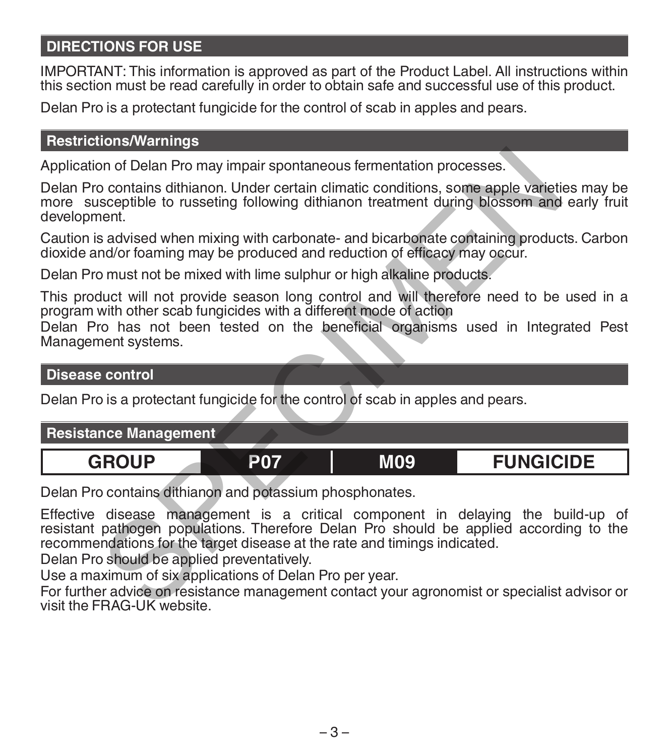# **DIRECTIONS FOR USE**

IMPORTANT: This information is approved as part of the Product Label. All instructions within this section must be read carefully in order to obtain safe and successful use of this product.

Delan Pro is a protectant fungicide for the control of scab in apples and pears.

## **Restrictions/Warnings**

## **Disease control**

| Application of Delan Pro may impair spontaneous fermentation processes.                                                                                                                                                                                                                                                                                                                                                                                                                          |            |            |                  |  |  |
|--------------------------------------------------------------------------------------------------------------------------------------------------------------------------------------------------------------------------------------------------------------------------------------------------------------------------------------------------------------------------------------------------------------------------------------------------------------------------------------------------|------------|------------|------------------|--|--|
| Delan Pro contains dithianon. Under certain climatic conditions, some apple varieties may be<br>more susceptible to russeting following dithianon treatment during blossom and early fruit<br>development.                                                                                                                                                                                                                                                                                       |            |            |                  |  |  |
| Caution is advised when mixing with carbonate- and bicarbonate containing products. Carbon<br>dioxide and/or foaming may be produced and reduction of efficacy may occur.                                                                                                                                                                                                                                                                                                                        |            |            |                  |  |  |
| Delan Pro must not be mixed with lime sulphur or high alkaline products.                                                                                                                                                                                                                                                                                                                                                                                                                         |            |            |                  |  |  |
| This product will not provide season long control and will therefore need to be used in a<br>program with other scab fungicides with a different mode of action<br>Delan Pro has not been tested on the beneficial organisms used in Integrated Pest<br>Management systems.                                                                                                                                                                                                                      |            |            |                  |  |  |
| <b>Disease control</b>                                                                                                                                                                                                                                                                                                                                                                                                                                                                           |            |            |                  |  |  |
| Delan Pro is a protectant fungicide for the control of scab in apples and pears.                                                                                                                                                                                                                                                                                                                                                                                                                 |            |            |                  |  |  |
| <b>Resistance Management</b>                                                                                                                                                                                                                                                                                                                                                                                                                                                                     |            |            |                  |  |  |
| <b>GROUP</b>                                                                                                                                                                                                                                                                                                                                                                                                                                                                                     | <b>P07</b> | <b>M09</b> | <b>FUNGICIDE</b> |  |  |
| Delan Pro contains dithianon and potassium phosphonates.                                                                                                                                                                                                                                                                                                                                                                                                                                         |            |            |                  |  |  |
| Effective disease management is a critical component in delaying the build-up of<br>resistant pathogen populations. Therefore Delan Pro should be applied according to the<br>recommendations for the target disease at the rate and timings indicated.<br>Delan Pro should be applied preventatively.<br>Use a maximum of six applications of Delan Pro per year.<br>For further advice on resistance management contact your agronomist or specialist advisor or<br>visit the FRAG-UK website. |            |            |                  |  |  |

For further advice on resistance management contact your agronomist or specialist advisor or visit the FRAG-UK website.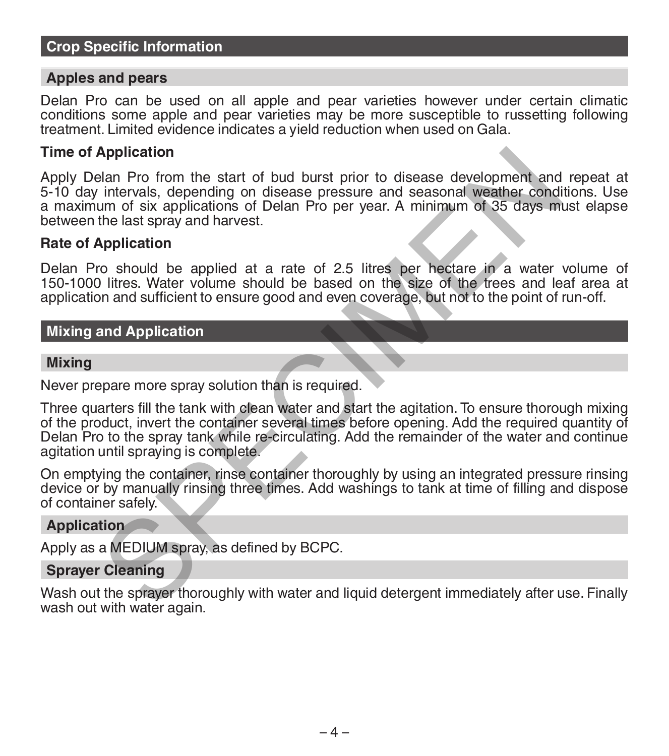## **Crop Specific Information**

### **Apples and pears**

Delan Pro can be used on all apple and pear varieties however under certain climatic conditions some apple and pear varieties may be more susceptible to russetting following treatment. Limited evidence indicates a yield reduction when used on Gala.

### **Time of Application**

Apply Delan Pro from the start of bud burst prior to disease development and repeat at 5-10 day intervals, depending on disease pressure and seasonal weather conditions. Use a maximum of six applications of Delan Pro per year. A minimum of 35 days must elapse between the last spray and harvest.

### **Rate of Application**

Delan Pro should be applied at a rate of 2.5 litres per hectare in a water volume of 150-1000 litres. Water volume should be based on the size of the trees and leaf area at application and sufficient to ensure good and even coverage, but not to the point of run-off.

## **Mixing and Application**

### **Mixing**

Never prepare more spray solution than is required.

Three quarters fill the tank with clean water and start the agitation. To ensure thorough mixing of the product, invert the container several times before opening. Add the required quantity of Delan Pro to the spray tank while re-circulating. Add the remainder of the water and continue agitation until spraying is complete. Application<br>
also Pro from the start of bud burst prior to disease development and<br>
intervals, depending on disease pressure and seasonal weather cond<br>
um of six applications of Delan Pro per year. A minimum of 35 days mil

On emptying the container, rinse container thoroughly by using an integrated pressure rinsing device or by manually rinsing three times. Add washings to tank at time of filling and dispose of container safely.

### **Application**

Apply as a MEDIUM spray, as defined by BCPC.

## **Sprayer Cleaning**

Wash out the sprayer thoroughly with water and liquid detergent immediately after use. Finally wash out with water again.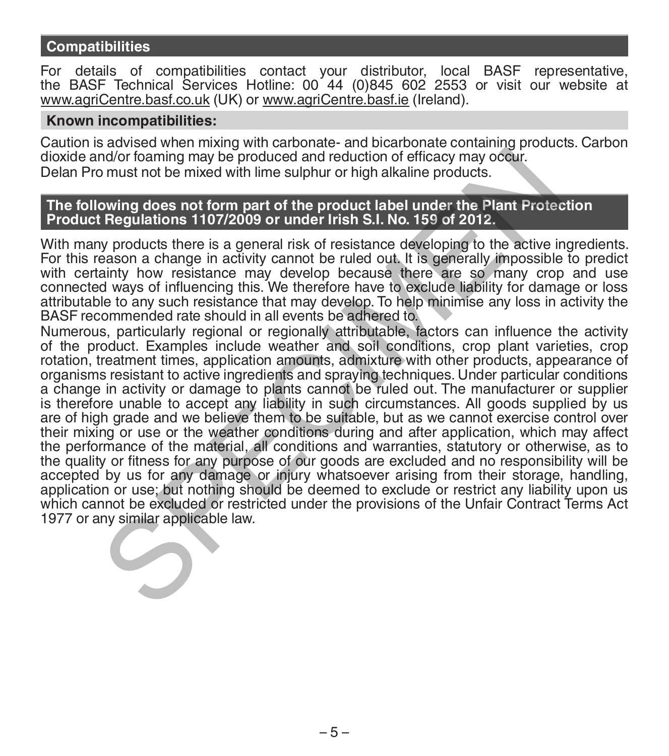## **Compatibilities**

For details of compatibilities contact your distributor, local BASF representative, the BASF Technical Services Hotline: 00 44 (0)845 602 2553 or visit our website at www.agriCentre.basf.co.uk (UK) or www.agriCentre.basf.ie (Ireland).

### **Known incompatibilities:**

Caution is advised when mixing with carbonate- and bicarbonate containing products. Carbon dioxide and/or foaming may be produced and reduction of efficacy may occur. Delan Pro must not be mixed with lime sulphur or high alkaline products.

### **The following does not form part of the product label under the Plant Protection Product Regulations 1107/2009 or under Irish S.I. No. 159 of 2012.**

With many products there is a general risk of resistance developing to the active ingredients. For this reason a change in activity cannot be ruled out. It is generally impossible to predict with certainty how resistance may develop because there are so many crop and use connected ways of influencing this. We therefore have to exclude liability for damage or loss attributable to any such resistance that may develop. To help minimise any loss in activity the BASF recommended rate should in all events be adhered to.

Numerous, particularly regional or regionally attributable, factors can influence the activity of the product. Examples include weather and soil conditions, crop plant varieties, crop rotation, treatment times, application amounts, admixture with other products, appearance of organisms resistant to active ingredients and spraying techniques. Under particular conditions a change in activity or damage to plants cannot be ruled out. The manufacturer or supplier is therefore unable to accept any liability in such circumstances. All goods supplied by us are of high grade and we believe them to be suitable, but as we cannot exercise control over their mixing or use or the weather conditions during and after application, which may affect the performance of the material, all conditions and warranties, statutory or otherwise, as to the quality or fitness for any purpose of our goods are excluded and no responsibility will be accepted by us for any damage or injury whatsoever arising from their storage, handling, application or use; but nothing should be deemed to exclude or restrict any liability upon us which cannot be excluded or restricted under the provisions of the Unfair Contract Terms Act 1977 or any similar applicable law. nd/or foaming may be produced and reduction of efficacy may occur.<br>
Somust not be mixed with lime sulphur or high alkaline products.<br>
Sowing does not form part of the product label under the Plant Protect<br>
Regulations 1107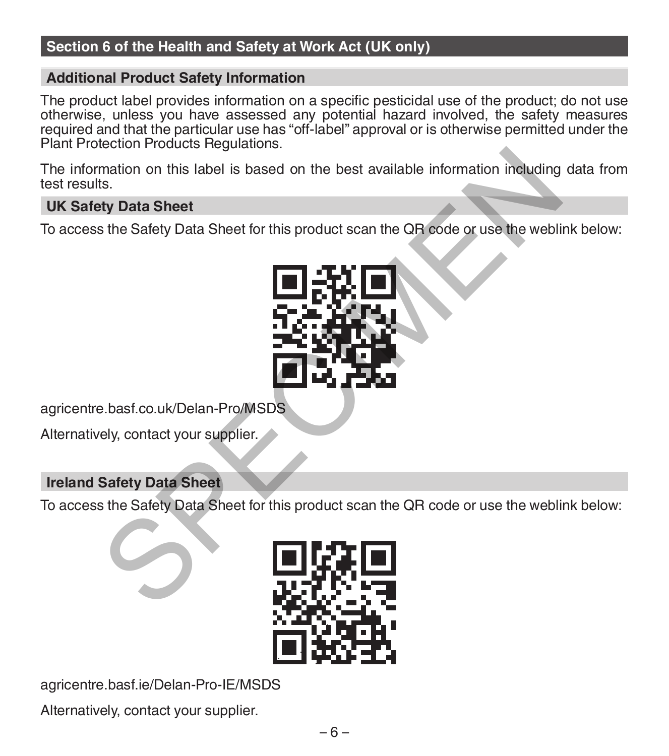## **Section 6 of the Health and Safety at Work Act (UK only)**

## **Additional Product Safety Information**

The product label provides information on a specific pesticidal use of the product; do not use otherwise, unless you have assessed any potential hazard involved, the safety measures required and that the particular use has "off-label" approval or is otherwise permitted under the Plant Protection Products Regulations.

The information on this label is based on the best available information including data from test results.

## **UK Safety Data Sheet**

To access the Safety Data Sheet for this product scan the QR code or use the weblink below:



agricentre.basf.co.uk/Delan-Pro/MSDS

Alternatively, contact your supplier.

## **Ireland Safety Data Sheet**

To access the Safety Data Sheet for this product scan the QR code or use the weblink below:



agricentre.basf.ie/Delan-Pro-IE/MSDS

Alternatively, contact your supplier.